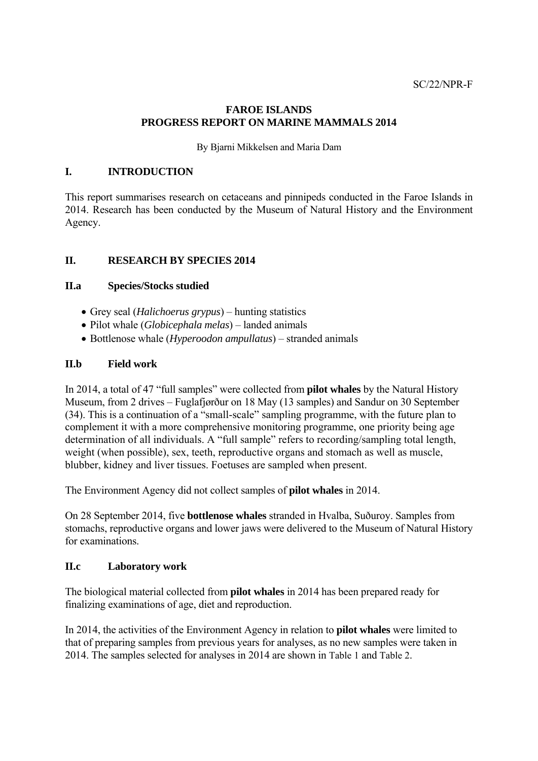## **FAROE ISLANDS PROGRESS REPORT ON MARINE MAMMALS 2014**

By Bjarni Mikkelsen and Maria Dam

#### **I. INTRODUCTION**

This report summarises research on cetaceans and pinnipeds conducted in the Faroe Islands in 2014. Research has been conducted by the Museum of Natural History and the Environment Agency.

## **II. RESEARCH BY SPECIES 2014**

#### **II.a Species/Stocks studied**

- Grey seal (*Halichoerus grypus*) hunting statistics
- Pilot whale (*Globicephala melas*) landed animals
- Bottlenose whale (*Hyperoodon ampullatus*) stranded animals

## **II.b Field work**

In 2014, a total of 47 "full samples" were collected from **pilot whales** by the Natural History Museum, from 2 drives – Fuglafjørður on 18 May (13 samples) and Sandur on 30 September (34). This is a continuation of a "small-scale" sampling programme, with the future plan to complement it with a more comprehensive monitoring programme, one priority being age determination of all individuals. A "full sample" refers to recording/sampling total length, weight (when possible), sex, teeth, reproductive organs and stomach as well as muscle, blubber, kidney and liver tissues. Foetuses are sampled when present.

The Environment Agency did not collect samples of **pilot whales** in 2014.

On 28 September 2014, five **bottlenose whales** stranded in Hvalba, Suðuroy. Samples from stomachs, reproductive organs and lower jaws were delivered to the Museum of Natural History for examinations.

#### **II.c Laboratory work**

The biological material collected from **pilot whales** in 2014 has been prepared ready for finalizing examinations of age, diet and reproduction.

In 2014, the activities of the Environment Agency in relation to **pilot whales** were limited to that of preparing samples from previous years for analyses, as no new samples were taken in 2014. The samples selected for analyses in 2014 are shown in Table 1 and Table 2.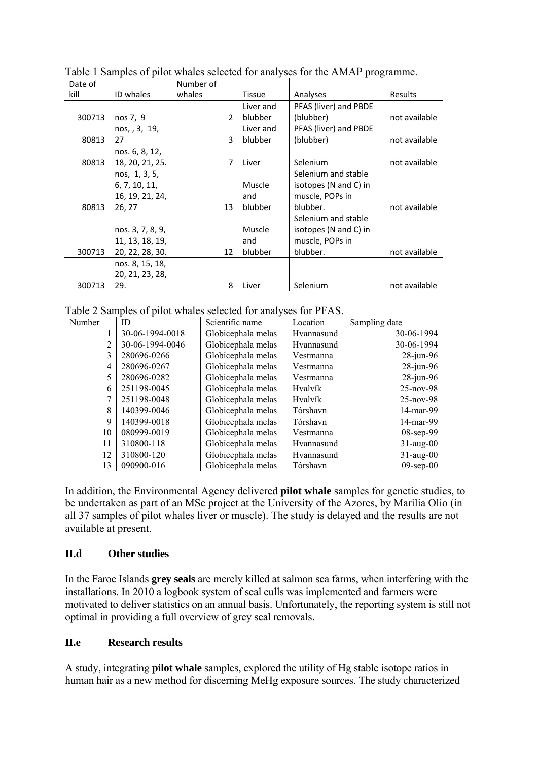| Date of |                  | Number of      |           |                       |               |
|---------|------------------|----------------|-----------|-----------------------|---------------|
| kill    | ID whales        | whales         | Tissue    | Analyses              | Results       |
|         |                  |                | Liver and | PFAS (liver) and PBDE |               |
| 300713  | nos 7, 9         | $\overline{2}$ | blubber   | (blubber)             | not available |
|         | nos, , 3, 19,    |                | Liver and | PFAS (liver) and PBDE |               |
| 80813   | 27               | 3              | blubber   | (blubber)             | not available |
|         | nos. 6, 8, 12,   |                |           |                       |               |
| 80813   | 18, 20, 21, 25.  | 7              | Liver     | Selenium              | not available |
|         | nos, 1, 3, 5,    |                |           | Selenium and stable   |               |
|         | 6, 7, 10, 11,    |                | Muscle    | isotopes (N and C) in |               |
|         | 16, 19, 21, 24,  |                | and       | muscle, POPs in       |               |
| 80813   | 26, 27           | 13             | blubber   | blubber.              | not available |
|         |                  |                |           | Selenium and stable   |               |
|         | nos. 3, 7, 8, 9, |                | Muscle    | isotopes (N and C) in |               |
|         | 11, 13, 18, 19,  |                | and       | muscle, POPs in       |               |
| 300713  | 20, 22, 28, 30.  | 12             | blubber   | blubber.              | not available |
|         | nos. 8, 15, 18,  |                |           |                       |               |
|         | 20, 21, 23, 28,  |                |           |                       |               |
| 300713  | 29.              | 8              | Liver     | Selenium              | not available |

Table 1 Samples of pilot whales selected for analyses for the AMAP programme.

Table 2 Samples of pilot whales selected for analyses for PFAS.

| Number         | ID              | Scientific name    | Location   | Sampling date   |
|----------------|-----------------|--------------------|------------|-----------------|
|                | 30-06-1994-0018 | Globicephala melas | Hvannasund | 30-06-1994      |
| 2              | 30-06-1994-0046 | Globicephala melas | Hvannasund | 30-06-1994      |
| 3              | 280696-0266     | Globicephala melas | Vestmanna  | $28$ -jun-96    |
| $\overline{4}$ | 280696-0267     | Globicephala melas | Vestmanna  | $28$ -jun-96    |
| 5              | 280696-0282     | Globicephala melas | Vestmanna  | $28$ -jun-96    |
| 6              | 251198-0045     | Globicephala melas | Hvalvík    | $25$ -nov-98    |
| 7              | 251198-0048     | Globicephala melas | Hvalvík    | $25$ -nov-98    |
| 8              | 140399-0046     | Globicephala melas | Tórshavn   | 14-mar-99       |
| 9              | 140399-0018     | Globicephala melas | Tórshavn   | 14-mar-99       |
| 10             | 080999-0019     | Globicephala melas | Vestmanna  | 08-sep-99       |
| 11             | 310800-118      | Globicephala melas | Hvannasund | $31$ -aug-00    |
| 12             | 310800-120      | Globicephala melas | Hvannasund | $31$ -aug-00    |
| 13             | 090900-016      | Globicephala melas | Tórshavn   | $09$ -sep- $00$ |

In addition, the Environmental Agency delivered **pilot whale** samples for genetic studies, to be undertaken as part of an MSc project at the University of the Azores, by Marilia Olio (in all 37 samples of pilot whales liver or muscle). The study is delayed and the results are not available at present.

## **II.d Other studies**

In the Faroe Islands **grey seals** are merely killed at salmon sea farms, when interfering with the installations. In 2010 a logbook system of seal culls was implemented and farmers were motivated to deliver statistics on an annual basis. Unfortunately, the reporting system is still not optimal in providing a full overview of grey seal removals.

## **II.e Research results**

A study, integrating **pilot whale** samples, explored the utility of Hg stable isotope ratios in human hair as a new method for discerning MeHg exposure sources. The study characterized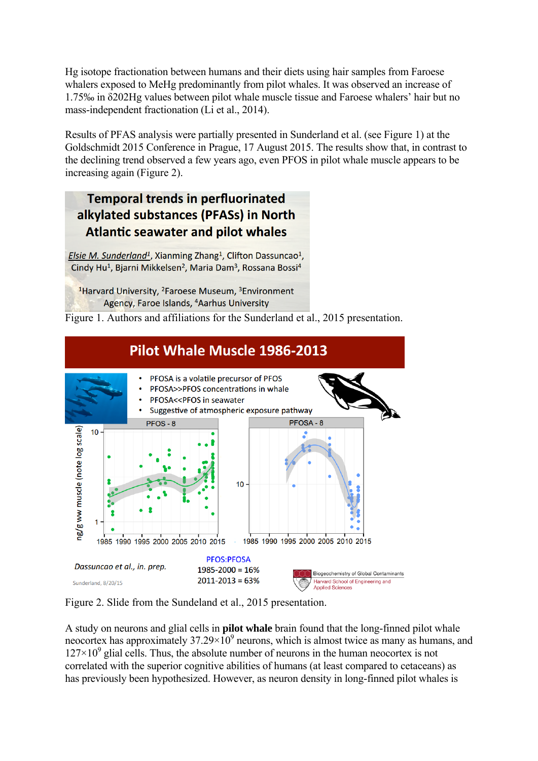Hg isotope fractionation between humans and their diets using hair samples from Faroese whalers exposed to MeHg predominantly from pilot whales. It was observed an increase of 1.75‰ in δ202Hg values between pilot whale muscle tissue and Faroese whalers' hair but no mass-independent fractionation (Li et al., 2014).

Results of PFAS analysis were partially presented in Sunderland et al. (see Figure 1) at the Goldschmidt 2015 Conference in Prague, 17 August 2015. The results show that, in contrast to the declining trend observed a few years ago, even PFOS in pilot whale muscle appears to be increasing again (Figure 2).

# **Temporal trends in perfluorinated** alkylated substances (PFASs) in North **Atlantic seawater and pilot whales**

Elsie M. Sunderland<sup>1</sup>, Xianming Zhang<sup>1</sup>, Clifton Dassuncao<sup>1</sup>, Cindy Hu<sup>1</sup>, Bjarni Mikkelsen<sup>2</sup>, Maria Dam<sup>3</sup>, Rossana Bossi<sup>4</sup>

<sup>1</sup>Harvard University, <sup>2</sup>Faroese Museum, <sup>3</sup>Environment Agency, Faroe Islands, <sup>4</sup>Aarhus University

Figure 1. Authors and affiliations for the Sunderland et al., 2015 presentation.



Figure 2. Slide from the Sundeland et al., 2015 presentation.

A study on neurons and glial cells in **pilot whale** brain found that the long-finned pilot whale neocortex has approximately  $37.29 \times 10^9$  neurons, which is almost twice as many as humans, and  $127 \times 10^9$  glial cells. Thus, the absolute number of neurons in the human neocortex is not correlated with the superior cognitive abilities of humans (at least compared to cetaceans) as has previously been hypothesized. However, as neuron density in long-finned pilot whales is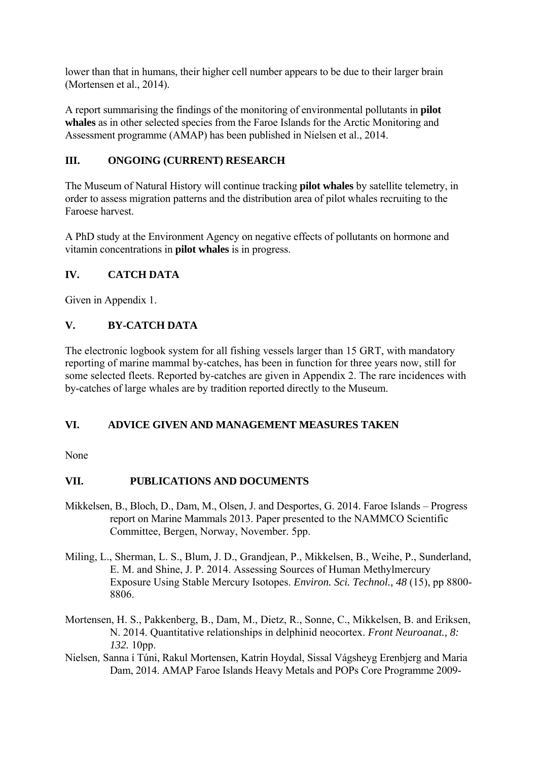lower than that in humans, their higher cell number appears to be due to their larger brain (Mortensen et al., 2014).

A report summarising the findings of the monitoring of environmental pollutants in **pilot whales** as in other selected species from the Faroe Islands for the Arctic Monitoring and Assessment programme (AMAP) has been published in Nielsen et al., 2014.

## **III. ONGOING (CURRENT) RESEARCH**

The Museum of Natural History will continue tracking **pilot whales** by satellite telemetry, in order to assess migration patterns and the distribution area of pilot whales recruiting to the Faroese harvest.

A PhD study at the Environment Agency on negative effects of pollutants on hormone and vitamin concentrations in **pilot whales** is in progress.

## **IV. CATCH DATA**

Given in Appendix 1.

## **V. BY-CATCH DATA**

The electronic logbook system for all fishing vessels larger than 15 GRT, with mandatory reporting of marine mammal by-catches, has been in function for three years now, still for some selected fleets. Reported by-catches are given in Appendix 2. The rare incidences with by-catches of large whales are by tradition reported directly to the Museum.

## **VI. ADVICE GIVEN AND MANAGEMENT MEASURES TAKEN**

None

## **VII. PUBLICATIONS AND DOCUMENTS**

- Mikkelsen, B., Bloch, D., Dam, M., Olsen, J. and Desportes, G. 2014. Faroe Islands Progress report on Marine Mammals 2013. Paper presented to the NAMMCO Scientific Committee, Bergen, Norway, November. 5pp.
- Miling, L., Sherman, L. S., Blum, J. D., Grandjean, P., Mikkelsen, B., Weihe, P., Sunderland, E. M. and Shine, J. P. 2014. Assessing Sources of Human Methylmercury Exposure Using Stable Mercury Isotopes. *Environ. Sci. Technol., 48* (15), pp 8800- 8806.
- Mortensen, H. S., Pakkenberg, B., Dam, M., Dietz, R., Sonne, C., Mikkelsen, B. and Eriksen, N. 2014. Quantitative relationships in delphinid neocortex. *Front Neuroanat., 8: 132.* 10pp.
- Nielsen, Sanna í Túni, Rakul Mortensen, Katrin Hoydal, Sissal Vágsheyg Erenbjerg and Maria Dam, 2014. AMAP Faroe Islands Heavy Metals and POPs Core Programme 2009-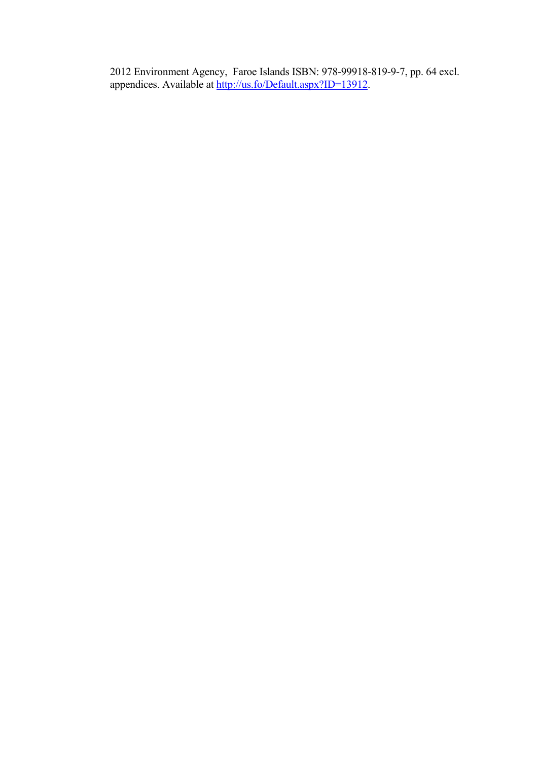2012 Environment Agency, Faroe Islands ISBN: 978-99918-819-9-7, pp. 64 excl. appendices. Available at http://us.fo/Default.aspx?ID=13912.